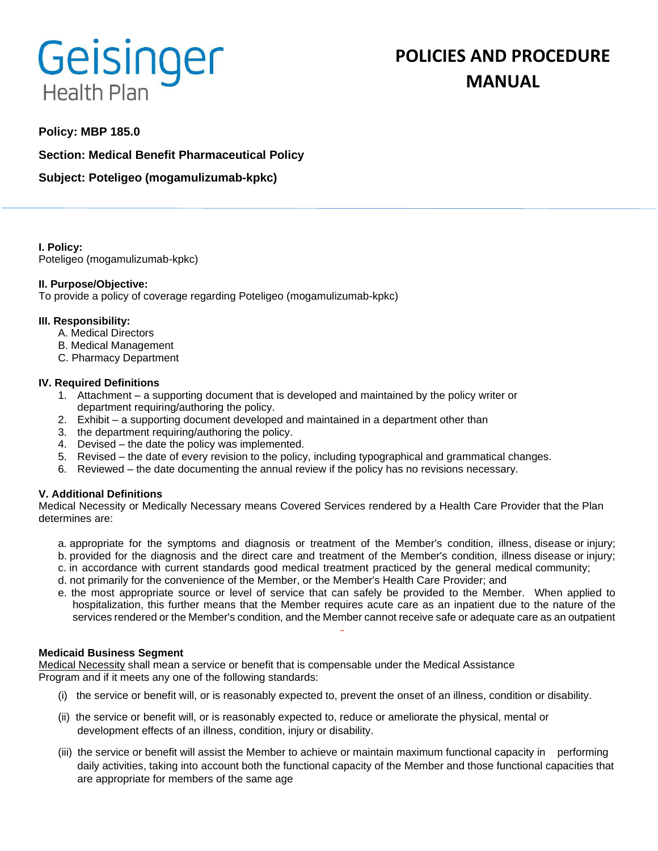# Geisinger **Health Plan**

# **POLICIES AND PROCEDURE MANUAL**

# **Policy: MBP 185.0**

**Section: Medical Benefit Pharmaceutical Policy**

**Subject: Poteligeo (mogamulizumab-kpkc)**

**I. Policy:** Poteligeo (mogamulizumab-kpkc)

# **II. Purpose/Objective:**

To provide a policy of coverage regarding Poteligeo (mogamulizumab-kpkc)

# **III. Responsibility:**

- A. Medical Directors
- B. Medical Management
- C. Pharmacy Department

#### **IV. Required Definitions**

- 1. Attachment a supporting document that is developed and maintained by the policy writer or department requiring/authoring the policy.
- 2. Exhibit a supporting document developed and maintained in a department other than
- 3. the department requiring/authoring the policy.
- 4. Devised the date the policy was implemented.
- 5. Revised the date of every revision to the policy, including typographical and grammatical changes.
- 6. Reviewed the date documenting the annual review if the policy has no revisions necessary.

# **V. Additional Definitions**

Medical Necessity or Medically Necessary means Covered Services rendered by a Health Care Provider that the Plan determines are:

- a. appropriate for the symptoms and diagnosis or treatment of the Member's condition, illness, disease or injury; b. provided for the diagnosis and the direct care and treatment of the Member's condition, illness disease or injury;
- c. in accordance with current standards good medical treatment practiced by the general medical community;
- d. not primarily for the convenience of the Member, or the Member's Health Care Provider; and
- e. the most appropriate source or level of service that can safely be provided to the Member. When applied to hospitalization, this further means that the Member requires acute care as an inpatient due to the nature of the services rendered or the Member's condition, and the Member cannot receive safe or adequate care as an outpatient

# **Medicaid Business Segment**

Medical Necessity shall mean a service or benefit that is compensable under the Medical Assistance Program and if it meets any one of the following standards:

- (i) the service or benefit will, or is reasonably expected to, prevent the onset of an illness, condition or disability.
- (ii) the service or benefit will, or is reasonably expected to, reduce or ameliorate the physical, mental or development effects of an illness, condition, injury or disability.
- (iii) the service or benefit will assist the Member to achieve or maintain maximum functional capacity in performing daily activities, taking into account both the functional capacity of the Member and those functional capacities that are appropriate for members of the same age